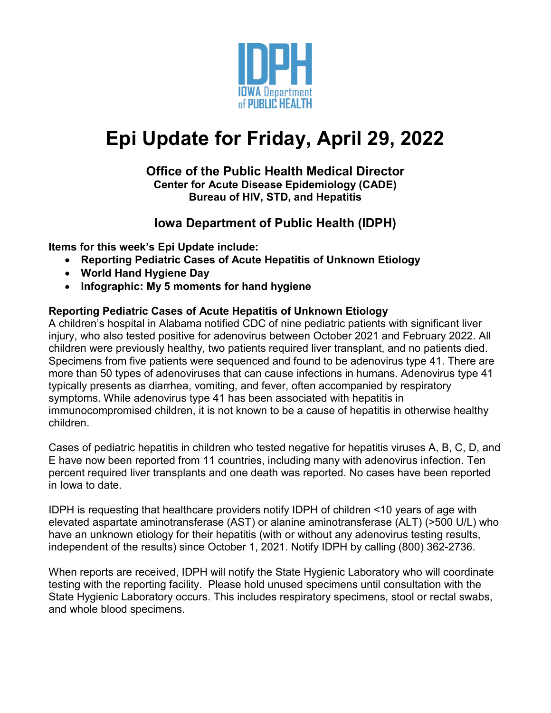

# **Epi Update for Friday, April 29, 2022**

### **Office of the Public Health Medical Director Center for Acute Disease Epidemiology (CADE) Bureau of HIV, STD, and Hepatitis**

# **Iowa Department of Public Health (IDPH)**

**Items for this week's Epi Update include:**

- **Reporting Pediatric Cases of Acute Hepatitis of Unknown Etiology**
- **World Hand Hygiene Day**
- **Infographic: My 5 moments for hand hygiene**

### **Reporting Pediatric Cases of Acute Hepatitis of Unknown Etiology**

A children's hospital in Alabama notified CDC of nine pediatric patients with significant liver injury, who also tested positive for adenovirus between October 2021 and February 2022. All children were previously healthy, two patients required liver transplant, and no patients died. Specimens from five patients were sequenced and found to be adenovirus type 41. There are more than 50 types of adenoviruses that can cause infections in humans. Adenovirus type 41 typically presents as diarrhea, vomiting, and fever, often accompanied by respiratory symptoms. While adenovirus type 41 has been associated with hepatitis in immunocompromised children, it is not known to be a cause of hepatitis in otherwise healthy children.

Cases of pediatric hepatitis in children who tested negative for hepatitis viruses A, B, C, D, and E have now been reported from 11 countries, including many with adenovirus infection. Ten percent required liver transplants and one death was reported. No cases have been reported in Iowa to date.

IDPH is requesting that healthcare providers notify IDPH of children <10 years of age with elevated aspartate aminotransferase (AST) or alanine aminotransferase (ALT) (>500 U/L) who have an unknown etiology for their hepatitis (with or without any adenovirus testing results, independent of the results) since October 1, 2021. Notify IDPH by calling (800) 362-2736.

When reports are received, IDPH will notify the State Hygienic Laboratory who will coordinate testing with the reporting facility. Please hold unused specimens until consultation with the State Hygienic Laboratory occurs. This includes respiratory specimens, stool or rectal swabs, and whole blood specimens.